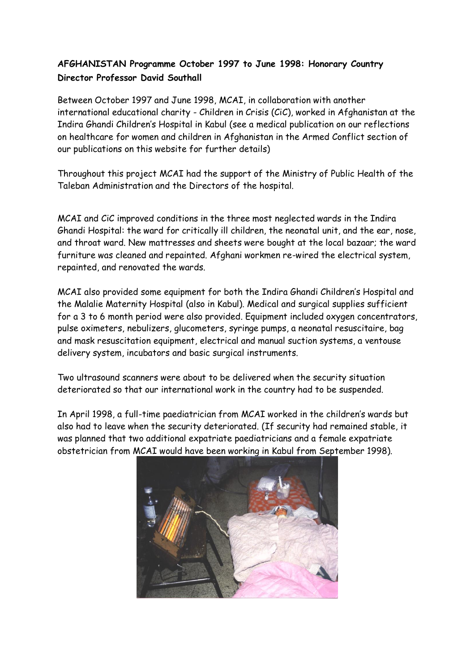## **AFGHANISTAN Programme October 1997 to June 1998: Honorary Country Director Professor David Southall**

Between October 1997 and June 1998, MCAI, in collaboration with another international educational charity - Children in Crisis (CiC), worked in Afghanistan at the Indira Ghandi Children's Hospital in Kabul (see a medical publication on our reflections on healthcare for women and children in Afghanistan in the Armed Conflict section of our publications on this website for further details)

Throughout this project MCAI had the support of the Ministry of Public Health of the Taleban Administration and the Directors of the hospital.

MCAI and CiC improved conditions in the three most neglected wards in the Indira Ghandi Hospital: the ward for critically ill children, the neonatal unit, and the ear, nose, and throat ward. New mattresses and sheets were bought at the local bazaar; the ward furniture was cleaned and repainted. Afghani workmen re-wired the electrical system, repainted, and renovated the wards.

MCAI also provided some equipment for both the Indira Ghandi Children's Hospital and the Malalie Maternity Hospital (also in Kabul). Medical and surgical supplies sufficient for a 3 to 6 month period were also provided. Equipment included oxygen concentrators, pulse oximeters, nebulizers, glucometers, syringe pumps, a neonatal resuscitaire, bag and mask resuscitation equipment, electrical and manual suction systems, a ventouse delivery system, incubators and basic surgical instruments.

Two ultrasound scanners were about to be delivered when the security situation deteriorated so that our international work in the country had to be suspended.

In April 1998, a full-time paediatrician from MCAI worked in the children's wards but also had to leave when the security deteriorated. (If security had remained stable, it was planned that two additional expatriate paediatricians and a female expatriate obstetrician from MCAI would have been working in Kabul from September 1998).

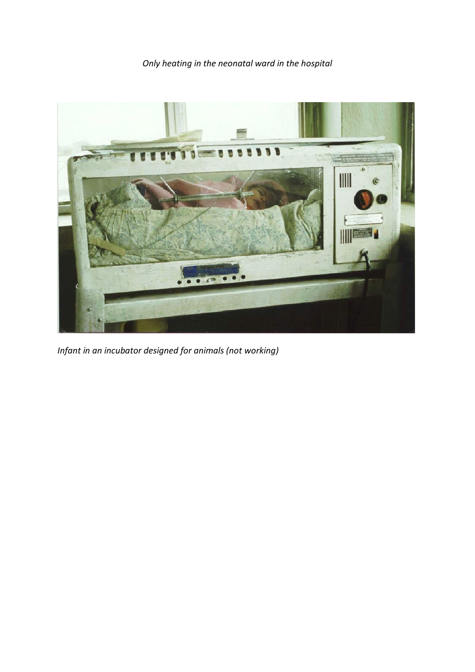*Only heating in the neonatal ward in the hospital*



*Infant in an incubator designed for animals (not working)*